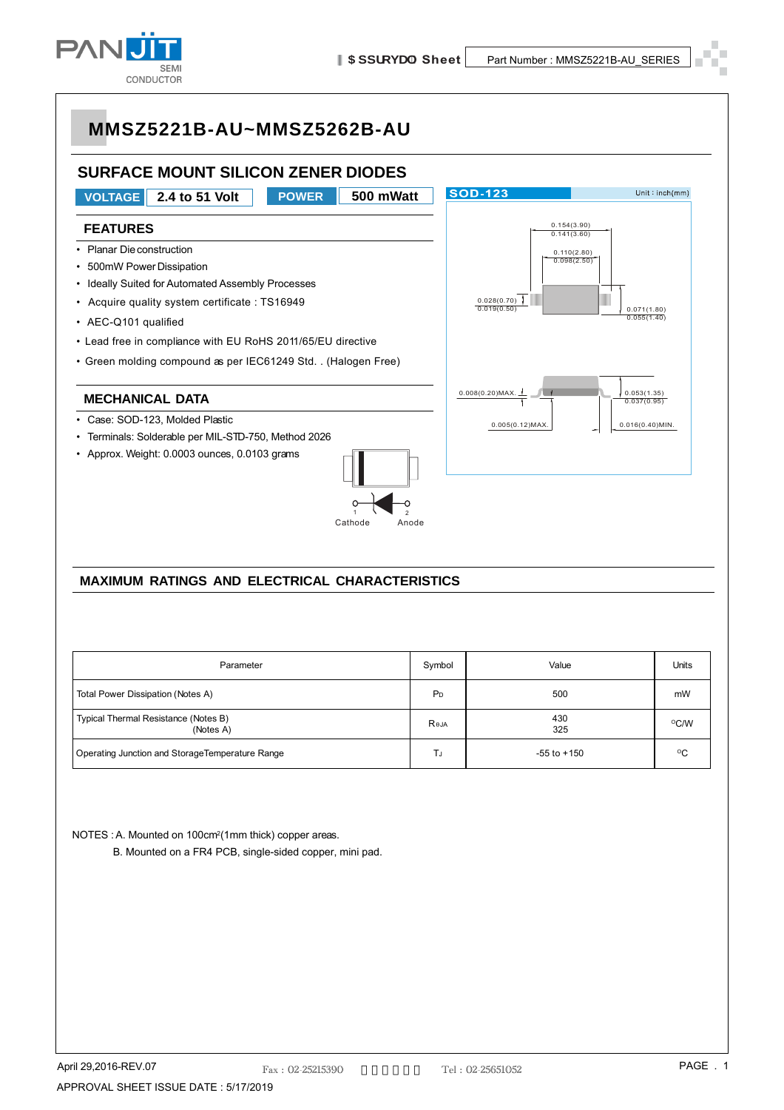

#### **SURFACE MOUNT SILICON ZENER DIODES**



#### **MAXIMUM RATINGS AND ELECTRICAL CHARACTERISTICS**

| Parameter                                         | Symbol         | Value           | Units        |
|---------------------------------------------------|----------------|-----------------|--------------|
| Total Power Dissipation (Notes A)                 | P <sub>D</sub> | 500             | mW           |
| Typical Thermal Resistance (Notes B)<br>(Notes A) | Reja           | 430<br>325      | °C/W         |
| Operating Junction and StorageTemperature Range   |                | $-55$ to $+150$ | $^{\circ}$ C |

NOTES : A. Mounted on 100cm<sup>2</sup>(1mm thick) copper areas.

B. Mounted on a FR4 PCB, single-sided copper, mini pad.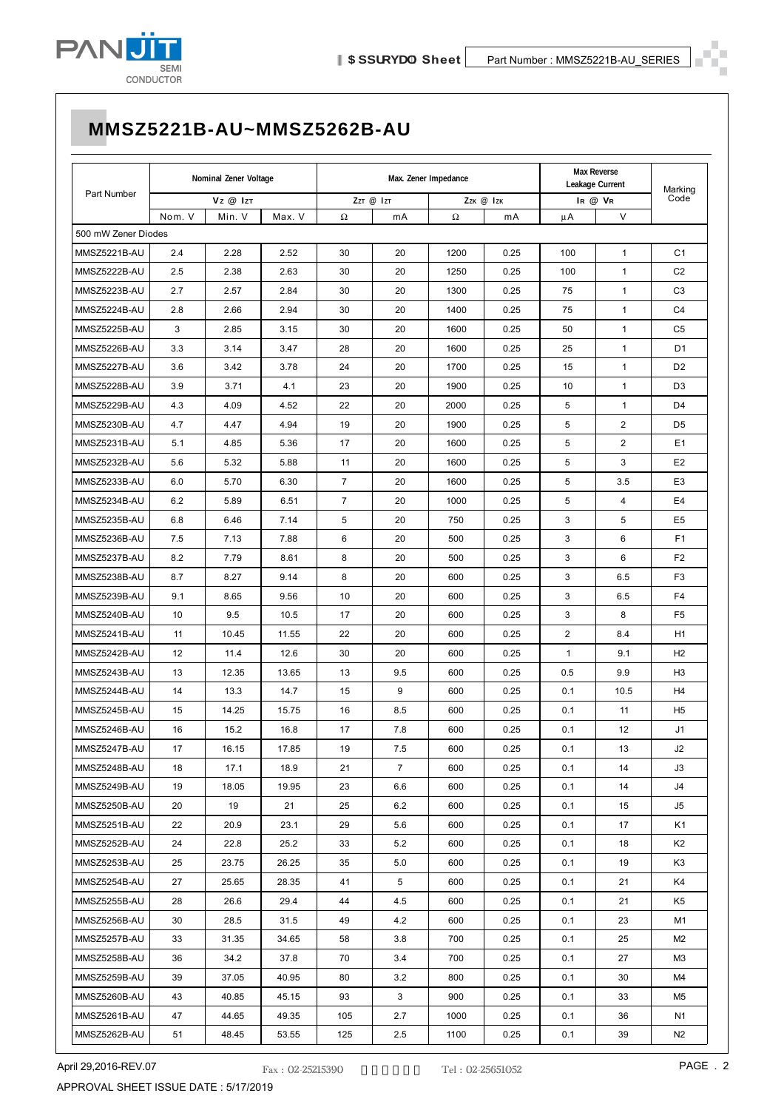

|                     | Nominal Zener Voltage |        | Max. Zener Impedance       |                |                |           | Max Reverse<br>Leakage Current |              | Marking      |                |
|---------------------|-----------------------|--------|----------------------------|----------------|----------------|-----------|--------------------------------|--------------|--------------|----------------|
| Part Number         | Vz @ Izt              |        | $ZzT \n\mathcal{Q}$   $zT$ |                |                | Zzk @ Izk |                                | IR @ VR      |              |                |
|                     | Nom. V                | Min. V | Max. V                     | Ω              | mA             | Ω         | mA                             | μA           | $\vee$       |                |
| 500 mW Zener Diodes |                       |        |                            |                |                |           |                                |              |              |                |
| MMSZ5221B-AU        | 2.4                   | 2.28   | 2.52                       | 30             | 20             | 1200      | 0.25                           | 100          | $\mathbf{1}$ | C <sub>1</sub> |
| MMSZ5222B-AU        | 2.5                   | 2.38   | 2.63                       | 30             | 20             | 1250      | 0.25                           | 100          | 1            | C <sub>2</sub> |
| MMSZ5223B-AU        | 2.7                   | 2.57   | 2.84                       | 30             | 20             | 1300      | 0.25                           | 75           | $\mathbf{1}$ | C <sub>3</sub> |
| MMSZ5224B-AU        | 2.8                   | 2.66   | 2.94                       | 30             | 20             | 1400      | 0.25                           | 75           | $\mathbf{1}$ | C <sub>4</sub> |
| MMSZ5225B-AU        | 3                     | 2.85   | 3.15                       | 30             | 20             | 1600      | 0.25                           | 50           | 1            | C <sub>5</sub> |
| MMSZ5226B-AU        | 3.3                   | 3.14   | 3.47                       | 28             | 20             | 1600      | 0.25                           | 25           | 1            | D <sub>1</sub> |
| MMSZ5227B-AU        | 3.6                   | 3.42   | 3.78                       | 24             | 20             | 1700      | 0.25                           | 15           | $\mathbf{1}$ | D <sub>2</sub> |
| MMSZ5228B-AU        | 3.9                   | 3.71   | 4.1                        | 23             | 20             | 1900      | 0.25                           | 10           | $\mathbf{1}$ | D <sub>3</sub> |
| MMSZ5229B-AU        | 4.3                   | 4.09   | 4.52                       | 22             | 20             | 2000      | 0.25                           | 5            | $\mathbf{1}$ | D4             |
| MMSZ5230B-AU        | 4.7                   | 4.47   | 4.94                       | 19             | 20             | 1900      | 0.25                           | 5            | 2            | D <sub>5</sub> |
| MMSZ5231B-AU        | 5.1                   | 4.85   | 5.36                       | 17             | 20             | 1600      | 0.25                           | 5            | 2            | E <sub>1</sub> |
| MMSZ5232B-AU        | 5.6                   | 5.32   | 5.88                       | 11             | 20             | 1600      | 0.25                           | 5            | 3            | E <sub>2</sub> |
| MMSZ5233B-AU        | 6.0                   | 5.70   | 6.30                       | $\overline{7}$ | 20             | 1600      | 0.25                           | 5            | 3.5          | E <sub>3</sub> |
| MMSZ5234B-AU        | 6.2                   | 5.89   | 6.51                       | $\overline{7}$ | 20             | 1000      | 0.25                           | 5            | 4            | E4             |
| MMSZ5235B-AU        | 6.8                   | 6.46   | 7.14                       | 5              | 20             | 750       | 0.25                           | 3            | 5            | E <sub>5</sub> |
| MMSZ5236B-AU        | 7.5                   | 7.13   | 7.88                       | 6              | 20             | 500       | 0.25                           | 3            | 6            | F <sub>1</sub> |
| MMSZ5237B-AU        | 8.2                   | 7.79   | 8.61                       | 8              | 20             | 500       | 0.25                           | 3            | 6            | F <sub>2</sub> |
| MMSZ5238B-AU        | 8.7                   | 8.27   | 9.14                       | 8              | 20             | 600       | 0.25                           | 3            | 6.5          | F <sub>3</sub> |
| MMSZ5239B-AU        | 9.1                   | 8.65   | 9.56                       | 10             | 20             | 600       | 0.25                           | 3            | 6.5          | F <sub>4</sub> |
| MMSZ5240B-AU        | 10                    | 9.5    | 10.5                       | 17             | 20             | 600       | 0.25                           | 3            | 8            | F <sub>5</sub> |
| MMSZ5241B-AU        | 11                    | 10.45  | 11.55                      | 22             | 20             | 600       | 0.25                           | 2            | 8.4          | H1             |
| MMSZ5242B-AU        | 12                    | 11.4   | 12.6                       | 30             | 20             | 600       | 0.25                           | $\mathbf{1}$ | 9.1          | H <sub>2</sub> |
| MMSZ5243B-AU        | 13                    | 12.35  | 13.65                      | 13             | 9.5            | 600       | 0.25                           | 0.5          | 9.9          | H <sub>3</sub> |
| MMSZ5244B-AU        | 14                    | 13.3   | 14.7                       | 15             | 9              | 600       | 0.25                           | 0.1          | 10.5         | H <sub>4</sub> |
| MMSZ5245B-AU        | 15                    | 14.25  | 15.75                      | 16             | 8.5            | 600       | 0.25                           | 0.1          | 11           | H <sub>5</sub> |
| MMSZ5246B-AU        | 16                    | 15.2   | 16.8                       | 17             | 7.8            | 600       | 0.25                           | 0.1          | 12           | J1             |
| MMSZ5247B-AU        | 17                    | 16.15  | 17.85                      | 19             | 7.5            | 600       | 0.25                           | 0.1          | 13           | J2             |
| MMSZ5248B-AU        | 18                    | 17.1   | 18.9                       | 21             | $\overline{7}$ | 600       | 0.25                           | 0.1          | 14           | JЗ             |
| MMSZ5249B-AU        | 19                    | 18.05  | 19.95                      | 23             | 6.6            | 600       | 0.25                           | 0.1          | 14           | J4             |
| MMSZ5250B-AU        | 20                    | 19     | 21                         | 25             | 6.2            | 600       | 0.25                           | 0.1          | 15           | J5             |
| MMSZ5251B-AU        | 22                    | 20.9   | 23.1                       | 29             | 5.6            | 600       | 0.25                           | 0.1          | 17           | K1             |
| MMSZ5252B-AU        | 24                    | 22.8   | 25.2                       | 33             | 5.2            | 600       | 0.25                           | 0.1          | 18           | K <sub>2</sub> |
| MMSZ5253B-AU        | 25                    | 23.75  | 26.25                      | 35             | 5.0            | 600       | 0.25                           | 0.1          | 19           | K3             |
| MMSZ5254B-AU        | 27                    | 25.65  | 28.35                      | 41             | $5^{\circ}$    | 600       | 0.25                           | 0.1          | 21           | K4             |
| MMSZ5255B-AU        | 28                    | 26.6   | 29.4                       | 44             | 4.5            | 600       | 0.25                           | 0.1          | 21           | K5             |
| MMSZ5256B-AU        | 30                    | 28.5   | 31.5                       | 49             | 4.2            | 600       | 0.25                           | 0.1          | 23           | M1             |
| MMSZ5257B-AU        | 33                    | 31.35  | 34.65                      | 58             | 3.8            | 700       | 0.25                           | 0.1          | 25           | M2             |
| MMSZ5258B-AU        | 36                    | 34.2   | 37.8                       | 70             | 3.4            | 700       | 0.25                           | 0.1          | 27           | M3             |
| MMSZ5259B-AU        | 39                    | 37.05  | 40.95                      | 80             | 3.2            | 800       | 0.25                           | 0.1          | 30           | M4             |
| MMSZ5260B-AU        | 43                    | 40.85  | 45.15                      | 93             | 3              | 900       | 0.25                           | 0.1          | 33           | M5             |
| MMSZ5261B-AU        | 47                    | 44.65  | 49.35                      | 105            | 2.7            | 1000      | 0.25                           | 0.1          | 36           | N1             |
| MMSZ5262B-AU        | 51                    | 48.45  | 53.55                      | 125            | 2.5            | 1100      | 0.25                           | 0.1          | 39           | N2             |
|                     |                       |        |                            |                |                |           |                                |              |              |                |

April 29,2016-REV.07 **PAGE . 2 PAGE . 2 PAGE . 2 PAGE . 2** APPROVAL SHEET ISSUE DATE : 5/17/2019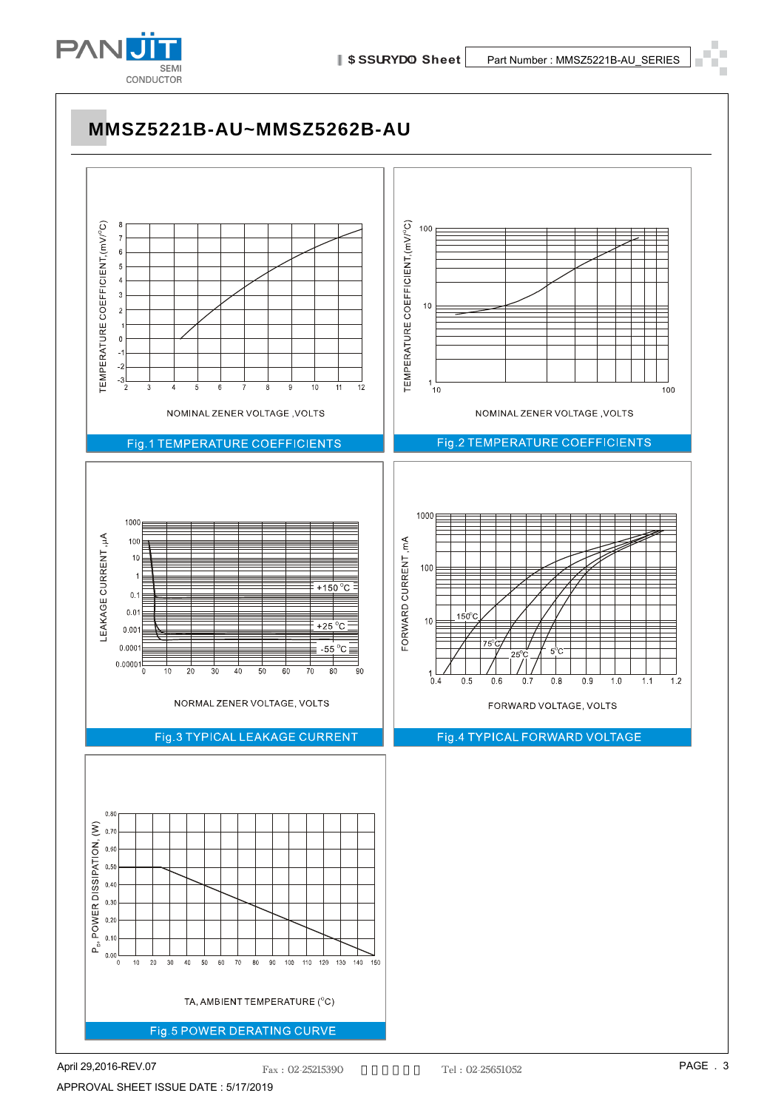

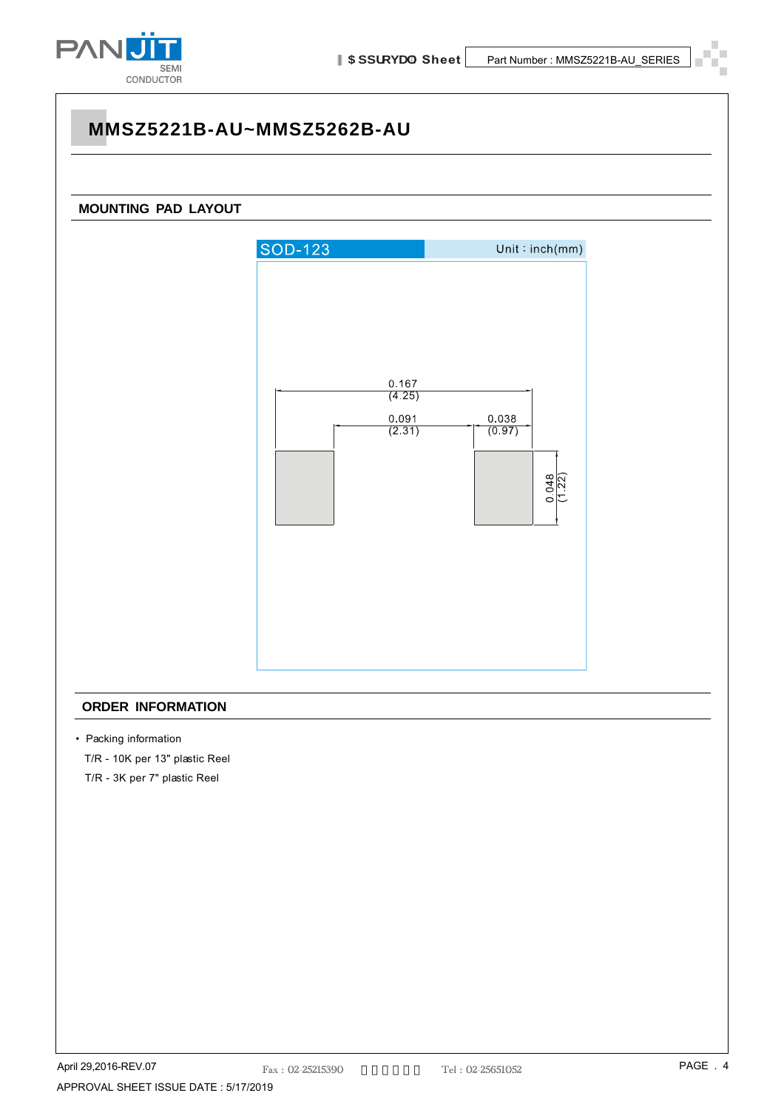

# **MMSZ5221B-AU~MMSZ5262B-AU MOUNTING PAD LAYOUT SOD-123**  $Unit : inch(mm)$ 0.167  $(4.25)$ 0.091 0.038  $\frac{0.0000}{(0.97)}$  $(2.31)$  $\frac{0.048}{(1.22)}$

#### **ORDER INFORMATION**

• Packing information

T/R - 10K per 13" plastic Reel

T/R - 3K per 7" plastic Reel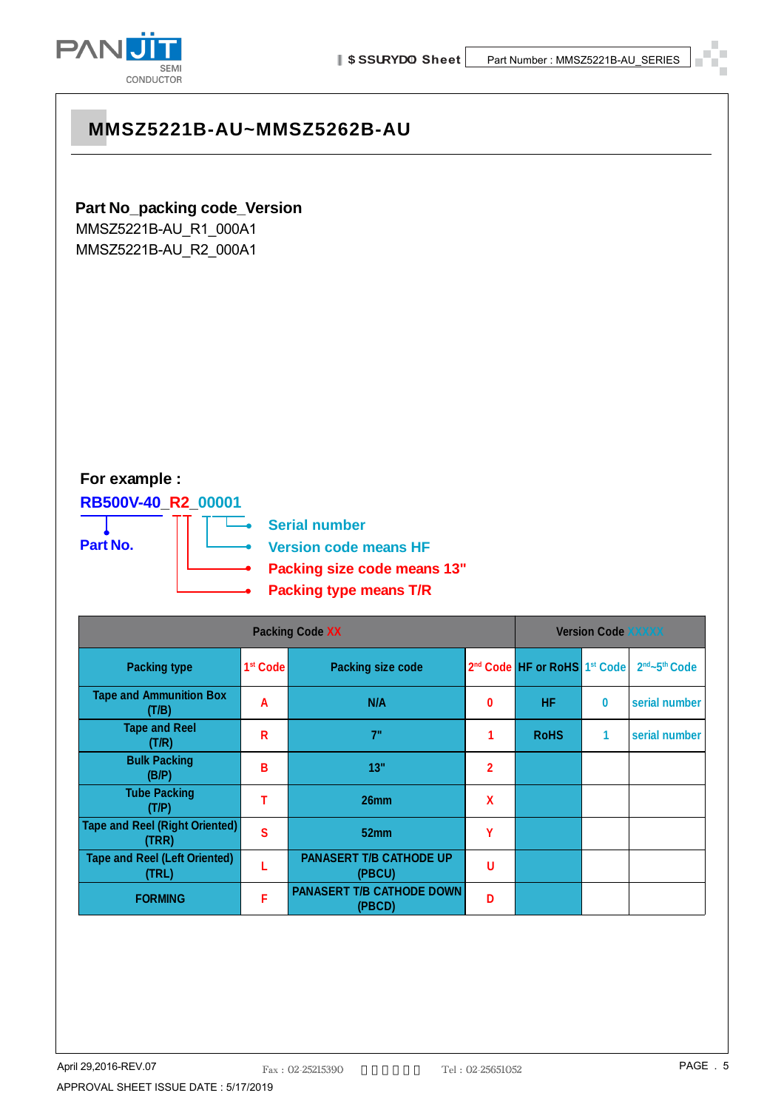

#### **Part No\_packing code\_Version**

MMSZ5221B-AU\_R1\_000A1 MMSZ5221B-AU\_R2\_000A1

#### **For example :**

**RB500V-40\_R2\_00001**

**Part No.**

**Serial number**

÷

**Version code means HF**

- **Packing size code means 13"**
- **Packing type means T/R**

| <b>Packing Code XX</b>                         |                      |                                            |                |                                                      | <b>Version Code XXXXX</b> |                                       |  |
|------------------------------------------------|----------------------|--------------------------------------------|----------------|------------------------------------------------------|---------------------------|---------------------------------------|--|
| <b>Packing type</b>                            | 1 <sup>st</sup> Code | <b>Packing size code</b>                   |                | 2 <sup>nd</sup> Code HF or RoHS 1 <sup>st</sup> Code |                           | 2 <sup>nd</sup> ~5 <sup>th</sup> Code |  |
| <b>Tape and Ammunition Box</b><br>(T/B)        | A                    | N/A                                        | 0              | <b>HF</b>                                            | $\bf{0}$                  | serial number                         |  |
| <b>Tape and Reel</b><br>(T/R)                  | R                    | 7"                                         |                | <b>RoHS</b>                                          | 1                         | serial number                         |  |
| <b>Bulk Packing</b><br>(B/P)                   | B                    | 13"                                        | $\overline{2}$ |                                                      |                           |                                       |  |
| <b>Tube Packing</b><br>(T/P)                   |                      | 26mm                                       | X              |                                                      |                           |                                       |  |
| <b>Tape and Reel (Right Oriented)</b><br>(TRR) | S                    | 52 <sub>mm</sub>                           | Υ              |                                                      |                           |                                       |  |
| <b>Tape and Reel (Left Oriented)</b><br>(TRL)  |                      | <b>PANASERT T/B CATHODE UP</b><br>(PBCU)   | U              |                                                      |                           |                                       |  |
| <b>FORMING</b>                                 | F                    | <b>PANASERT T/B CATHODE DOWN</b><br>(PBCD) | Đ              |                                                      |                           |                                       |  |